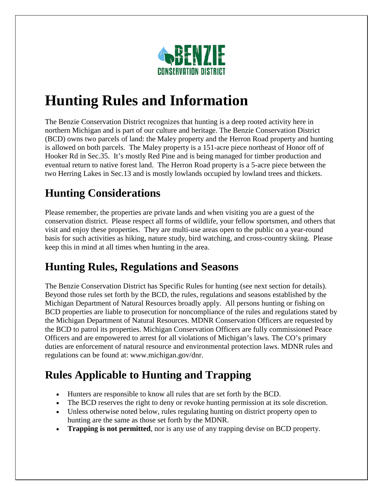

# **Hunting Rules and Information**

The Benzie Conservation District recognizes that hunting is a deep rooted activity here in northern Michigan and is part of our culture and heritage. The Benzie Conservation District (BCD) owns two parcels of land: the Maley property and the Herron Road property and hunting is allowed on both parcels. The Maley property is a 151-acre piece northeast of Honor off of Hooker Rd in Sec.35. It's mostly Red Pine and is being managed for timber production and eventual return to native forest land. The Herron Road property is a 5-acre piece between the two Herring Lakes in Sec.13 and is mostly lowlands occupied by lowland trees and thickets.

#### **Hunting Considerations**

Please remember, the properties are private lands and when visiting you are a guest of the conservation district. Please respect all forms of wildlife, your fellow sportsmen, and others that visit and enjoy these properties. They are multi-use areas open to the public on a year-round basis for such activities as hiking, nature study, bird watching, and cross-country skiing. Please keep this in mind at all times when hunting in the area.

## **Hunting Rules, Regulations and Seasons**

The Benzie Conservation District has Specific Rules for hunting (see next section for details). Beyond those rules set forth by the BCD, the rules, regulations and seasons established by the Michigan Department of Natural Resources broadly apply. All persons hunting or fishing on BCD properties are liable to prosecution for noncompliance of the rules and regulations stated by the Michigan Department of Natural Resources. MDNR Conservation Officers are requested by the BCD to patrol its properties. Michigan Conservation Officers are fully commissioned Peace Officers and are empowered to arrest for all violations of Michigan's laws. The CO's primary duties are enforcement of natural resource and environmental protection laws. MDNR rules and regulations can be found at: www.michigan.gov/dnr.

## **Rules Applicable to Hunting and Trapping**

- Hunters are responsible to know all rules that are set forth by the BCD.
- The BCD reserves the right to deny or revoke hunting permission at its sole discretion.
- Unless otherwise noted below, rules regulating hunting on district property open to hunting are the same as those set forth by the MDNR.
- **Trapping is not permitted**, nor is any use of any trapping devise on BCD property.